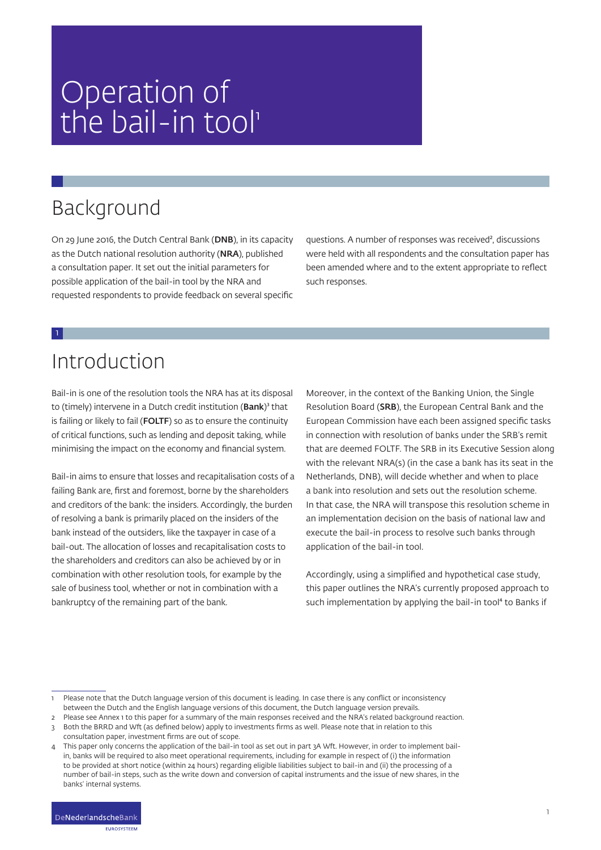# Operation of the bail-in tool

# Background

On 29 June 2016, the Dutch Central Bank (DNB), in its capacity as the Dutch national resolution authority (NRA), published a consultation paper. It set out the initial parameters for possible application of the bail-in tool by the NRA and requested respondents to provide feedback on several specific questions. A number of responses was received², discussions were held with all respondents and the consultation paper has been amended where and to the extent appropriate to reflect such responses.

### Introduction

1

Bail-in is one of the resolution tools the NRA has at its disposal to (timely) intervene in a Dutch credit institution (Bank)<sup>3</sup> that is failing or likely to fail (FOLTF) so as to ensure the continuity of critical functions, such as lending and deposit taking, while minimising the impact on the economy and financial system.

Bail-in aims to ensure that losses and recapitalisation costs of a failing Bank are, first and foremost, borne by the shareholders and creditors of the bank: the insiders. Accordingly, the burden of resolving a bank is primarily placed on the insiders of the bank instead of the outsiders, like the taxpayer in case of a bail-out. The allocation of losses and recapitalisation costs to the shareholders and creditors can also be achieved by or in combination with other resolution tools, for example by the sale of business tool, whether or not in combination with a bankruptcy of the remaining part of the bank.

Moreover, in the context of the Banking Union, the Single Resolution Board (SRB), the European Central Bank and the European Commission have each been assigned specific tasks in connection with resolution of banks under the SRB's remit that are deemed FOLTF. The SRB in its Executive Session along with the relevant NRA(s) (in the case a bank has its seat in the Netherlands, DNB), will decide whether and when to place a bank into resolution and sets out the resolution scheme. In that case, the NRA will transpose this resolution scheme in an implementation decision on the basis of national law and execute the bail-in process to resolve such banks through application of the bail-in tool.

Accordingly, using a simplified and hypothetical case study, this paper outlines the NRA's currently proposed approach to such implementation by applying the bail-in tool<sup>4</sup> to Banks if

Please note that the Dutch language version of this document is leading. In case there is any conflict or inconsistency between the Dutch and the English language versions of this document, the Dutch language version prevails.

2 Please see Annex 1 to this paper for a summary of the main responses received and the NRA's related background reaction.

<sup>3</sup> Both the BRRD and Wft (as defined below) apply to investments firms as well. Please note that in relation to this consultation paper, investment firms are out of scope.

This paper only concerns the application of the bail-in tool as set out in part 3A Wft. However, in order to implement bailin, banks will be required to also meet operational requirements, including for example in respect of (i) the information to be provided at short notice (within 24 hours) regarding eligible liabilities subject to bail-in and (ii) the processing of a number of bail-in steps, such as the write down and conversion of capital instruments and the issue of new shares, in the banks' internal systems.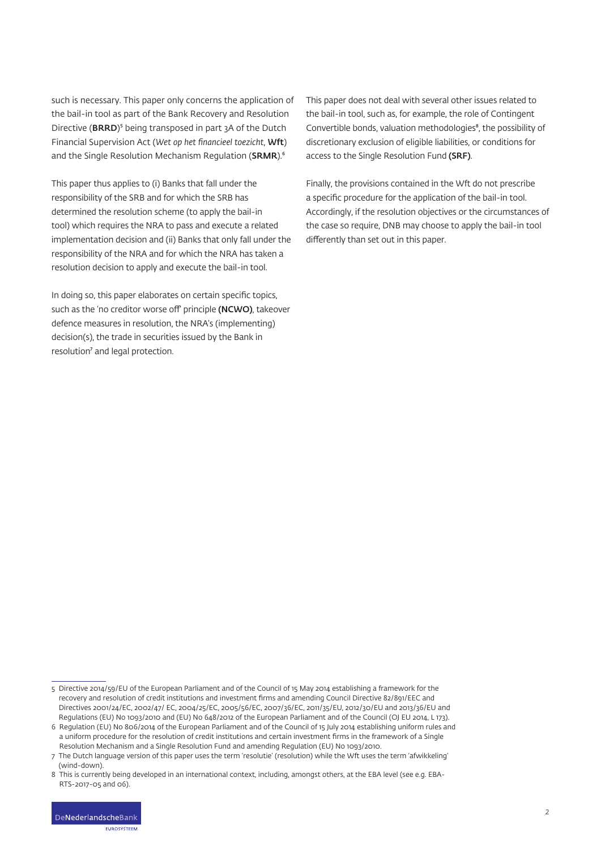such is necessary. This paper only concerns the application of the bail-in tool as part of the Bank Recovery and Resolution Directive (BRRD)<sup>5</sup> being transposed in part 3A of the Dutch Financial Supervision Act (*Wet op het financieel toezicht*, Wft) and the Single Resolution Mechanism Regulation (SRMR).<sup>6</sup>

This paper thus applies to (i) Banks that fall under the responsibility of the SRB and for which the SRB has determined the resolution scheme (to apply the bail-in tool) which requires the NRA to pass and execute a related implementation decision and (ii) Banks that only fall under the responsibility of the NRA and for which the NRA has taken a resolution decision to apply and execute the bail-in tool.

In doing so, this paper elaborates on certain specific topics, such as the 'no creditor worse off' principle (NCWO), takeover defence measures in resolution, the NRA's (implementing) decision(s), the trade in securities issued by the Bank in resolution<sup>7</sup> and legal protection.

This paper does not deal with several other issues related to the bail-in tool, such as, for example, the role of Contingent Convertible bonds, valuation methodologies<sup>8</sup>, the possibility of discretionary exclusion of eligible liabilities, or conditions for access to the Single Resolution Fund (SRF).

Finally, the provisions contained in the Wft do not prescribe a specific procedure for the application of the bail-in tool. Accordingly, if the resolution objectives or the circumstances of the case so require, DNB may choose to apply the bail-in tool differently than set out in this paper.

<sup>5</sup> Directive 2014/59/EU of the European Parliament and of the Council of 15 May 2014 establishing a framework for the recovery and resolution of credit institutions and investment firms and amending Council Directive 82/891/EEC and Directives 2001/24/EC, 2002/47/ EC, 2004/25/EC, 2005/56/EC, 2007/36/EC, 2011/35/EU, 2012/30/EU and 2013/36/EU and Regulations (EU) No 1093/2010 and (EU) No 648/2012 of the European Parliament and of the Council (OJ EU 2014, L 173).

<sup>6</sup> Regulation (EU) No 806/2014 of the European Parliament and of the Council of 15 July 2014 establishing uniform rules and a uniform procedure for the resolution of credit institutions and certain investment firms in the framework of a Single Resolution Mechanism and a Single Resolution Fund and amending Regulation (EU) No 1093/2010.

<sup>7</sup> The Dutch language version of this paper uses the term 'resolutie' (resolution) while the Wft uses the term 'afwikkeling' (wind-down).

<sup>8</sup> This is currently being developed in an international context, including, amongst others, at the EBA level (see e.g. EBA-RTS-2017-05 and 06).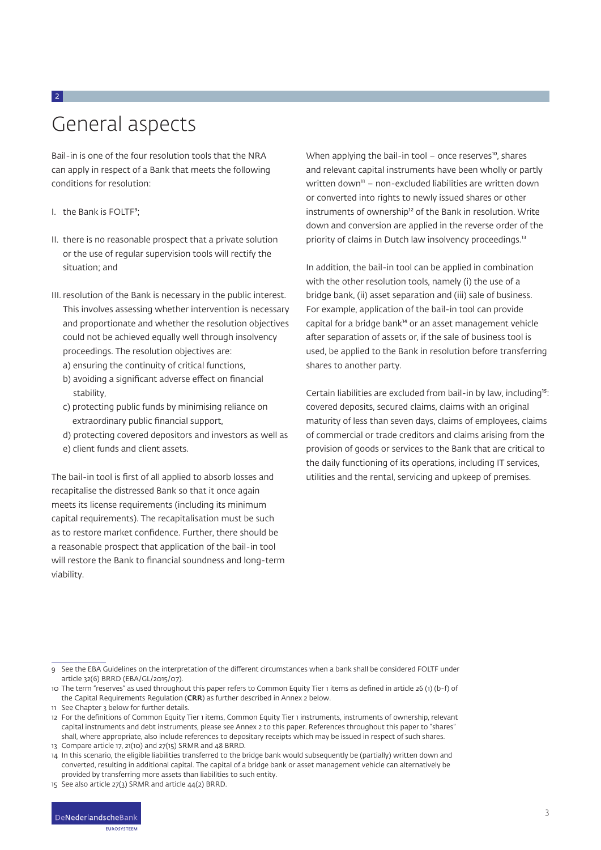### General aspects

Bail-in is one of the four resolution tools that the NRA can apply in respect of a Bank that meets the following conditions for resolution:

I. the Bank is FOLTF<sup>9</sup>;

2

- II. there is no reasonable prospect that a private solution or the use of regular supervision tools will rectify the situation; and
- III. resolution of the Bank is necessary in the public interest. This involves assessing whether intervention is necessary and proportionate and whether the resolution objectives could not be achieved equally well through insolvency proceedings. The resolution objectives are:
	- a) ensuring the continuity of critical functions,
	- b) avoiding a significant adverse effect on financial stability,
	- c) protecting public funds by minimising reliance on extraordinary public financial support,
	- d) protecting covered depositors and investors as well as
	- e) client funds and client assets.

The bail-in tool is first of all applied to absorb losses and recapitalise the distressed Bank so that it once again meets its license requirements (including its minimum capital requirements). The recapitalisation must be such as to restore market confidence. Further, there should be a reasonable prospect that application of the bail-in tool will restore the Bank to financial soundness and long-term viability.

When applying the bail-in tool – once reserves<sup>10</sup>, shares and relevant capital instruments have been wholly or partly written down $n =$  non-excluded liabilities are written down or converted into rights to newly issued shares or other instruments of ownership<sup>12</sup> of the Bank in resolution. Write down and conversion are applied in the reverse order of the priority of claims in Dutch law insolvency proceedings.<sup>13</sup>

In addition, the bail-in tool can be applied in combination with the other resolution tools, namely (i) the use of a bridge bank, (ii) asset separation and (iii) sale of business. For example, application of the bail-in tool can provide capital for a bridge bank<sup>14</sup> or an asset management vehicle after separation of assets or, if the sale of business tool is used, be applied to the Bank in resolution before transferring shares to another party.

Certain liabilities are excluded from bail-in by law, including<sup>15</sup>: covered deposits, secured claims, claims with an original maturity of less than seven days, claims of employees, claims of commercial or trade creditors and claims arising from the provision of goods or services to the Bank that are critical to the daily functioning of its operations, including IT services, utilities and the rental, servicing and upkeep of premises.

<sup>9</sup> See the EBA Guidelines on the interpretation of the different circumstances when a bank shall be considered FOLTF under article 32(6) BRRD (EBA/GL/2015/07).

<sup>10</sup> The term "reserves" as used throughout this paper refers to Common Equity Tier 1 items as defined in article 26 (1) (b-f) of the Capital Requirements Regulation (CRR) as further described in Annex 2 below.

<sup>11</sup> See Chapter 3 below for further details.

<sup>12</sup> For the definitions of Common Equity Tier 1 items, Common Equity Tier 1 instruments, instruments of ownership, relevant capital instruments and debt instruments, please see Annex 2 to this paper. References throughout this paper to "shares" shall, where appropriate, also include references to depositary receipts which may be issued in respect of such shares.

<sup>13</sup> Compare article 17, 21(10) and 27(15) SRMR and 48 BRRD.

<sup>14</sup> In this scenario, the eligible liabilities transferred to the bridge bank would subsequently be (partially) written down and converted, resulting in additional capital. The capital of a bridge bank or asset management vehicle can alternatively be provided by transferring more assets than liabilities to such entity.

<sup>15</sup> See also article 27(3) SRMR and article 44(2) BRRD.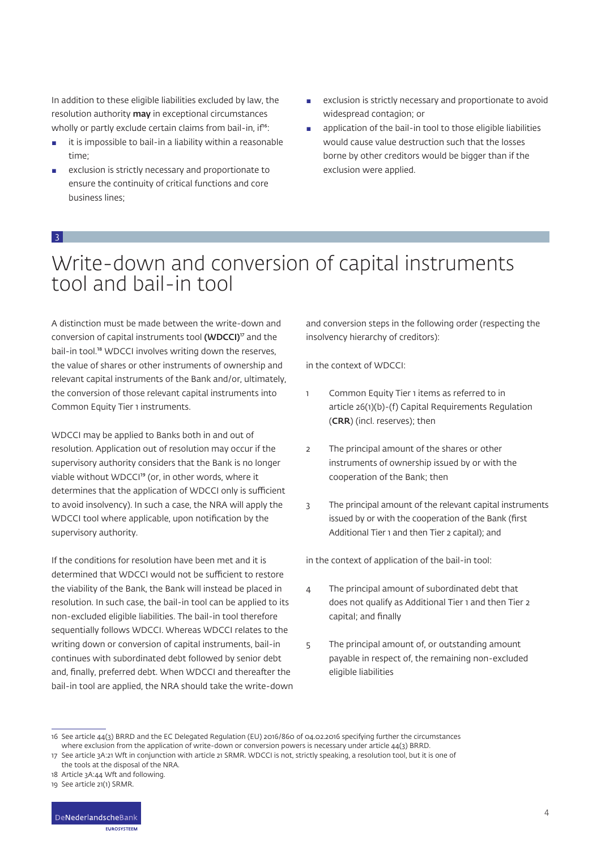In addition to these eligible liabilities excluded by law, the resolution authority **may** in exceptional circumstances wholly or partly exclude certain claims from bail-in, if<sup>16</sup>:

- $\blacksquare$  it is impossible to bail-in a liability within a reasonable time;
- exclusion is strictly necessary and proportionate to ensure the continuity of critical functions and core business lines;
- exclusion is strictly necessary and proportionate to avoid widespread contagion; or
- **EXECUTE:** application of the bail-in tool to those eligible liabilities would cause value destruction such that the losses borne by other creditors would be bigger than if the exclusion were applied.

#### 3

### Write-down and conversion of capital instruments tool and bail-in tool

A distinction must be made between the write-down and conversion of capital instruments tool ( $WDCCI$ )<sup> $\sigma$ </sup> and the bail-in tool.<sup>18</sup> WDCCI involves writing down the reserves, the value of shares or other instruments of ownership and relevant capital instruments of the Bank and/or, ultimately, the conversion of those relevant capital instruments into Common Equity Tier 1 instruments.

WDCCI may be applied to Banks both in and out of resolution. Application out of resolution may occur if the supervisory authority considers that the Bank is no longer viable without WDCCI<sup>19</sup> (or, in other words, where it determines that the application of WDCCI only is sufficient to avoid insolvency). In such a case, the NRA will apply the WDCCI tool where applicable, upon notification by the supervisory authority.

If the conditions for resolution have been met and it is determined that WDCCI would not be sufficient to restore the viability of the Bank, the Bank will instead be placed in resolution. In such case, the bail-in tool can be applied to its non-excluded eligible liabilities. The bail-in tool therefore sequentially follows WDCCI. Whereas WDCCI relates to the writing down or conversion of capital instruments, bail-in continues with subordinated debt followed by senior debt and, finally, preferred debt. When WDCCI and thereafter the bail-in tool are applied, the NRA should take the write-down and conversion steps in the following order (respecting the insolvency hierarchy of creditors):

in the context of WDCCI:

- 1 Common Equity Tier 1 items as referred to in article 26(1)(b)-(f) Capital Requirements Regulation (CRR) (incl. reserves); then
- 2 The principal amount of the shares or other instruments of ownership issued by or with the cooperation of the Bank; then
- 3 The principal amount of the relevant capital instruments issued by or with the cooperation of the Bank (first Additional Tier 1 and then Tier 2 capital); and

in the context of application of the bail-in tool:

- 4 The principal amount of subordinated debt that does not qualify as Additional Tier 1 and then Tier 2 capital; and finally
- 5 The principal amount of, or outstanding amount payable in respect of, the remaining non-excluded eligible liabilities

<sup>16</sup> See article 44(3) BRRD and the EC Delegated Regulation (EU) 2016/860 of 04.02.2016 specifying further the circumstances where exclusion from the application of write-down or conversion powers is necessary under article 44(3) BRRD.

<sup>17</sup> See article 3A:21 Wft in conjunction with article 21 SRMR. WDCCI is not, strictly speaking, a resolution tool, but it is one of the tools at the disposal of the NRA.

<sup>18</sup> Article 3A:44 Wft and following.

<sup>19</sup> See article 21(1) SRMR.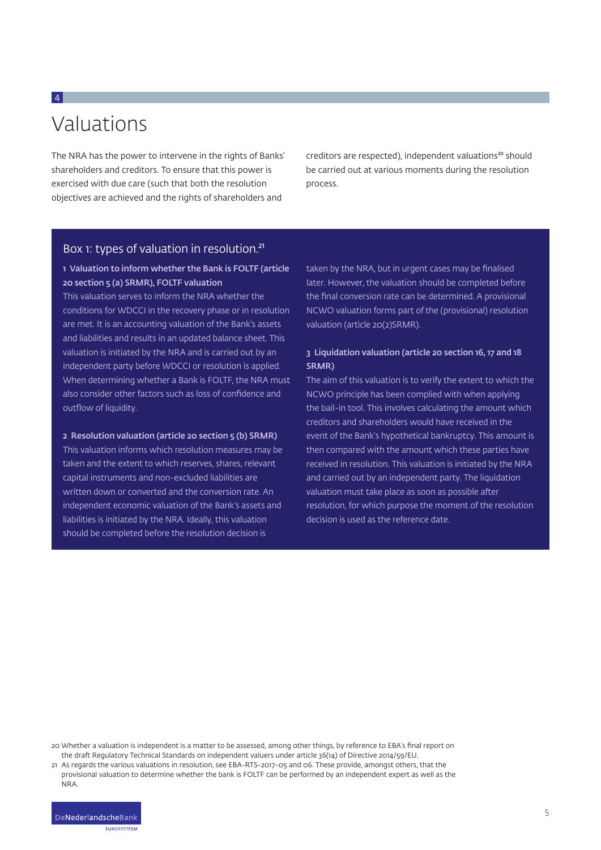## Valuations

4

The NRA has the power to intervene in the rights of Banks' shareholders and creditors. To ensure that this power is exercised with due care (such that both the resolution objectives are achieved and the rights of shareholders and

creditors are respected), independent valuations<sup>20</sup> should be carried out at various moments during the resolution process.

#### Box 1: types of valuation in resolution.<sup>21</sup>

#### 1 Valuation to inform whether the Bank is FOLTF (article 20 section 5 (a) SRMR), FOLTF valuation

This valuation serves to inform the NRA whether the conditions for WDCCI in the recovery phase or in resolution are met. It is an accounting valuation of the Bank's assets and liabilities and results in an updated balance sheet. This valuation is initiated by the NRA and is carried out by an independent party before WDCCI or resolution is applied. When determining whether a Bank is FOLTF, the NRA must also consider other factors such as loss of confidence and outflow of liquidity.

#### 2 Resolution valuation (article 20 section 5 (b) SRMR)

This valuation informs which resolution measures may be taken and the extent to which reserves, shares, relevant capital instruments and non-excluded liabilities are written down or converted and the conversion rate. An independent economic valuation of the Bank's assets and liabilities is initiated by the NRA. Ideally, this valuation should be completed before the resolution decision is

taken by the NRA, but in urgent cases may be finalised later. However, the valuation should be completed before the final conversion rate can be determined. A provisional NCWO valuation forms part of the (provisional) resolution valuation (article 20(2)SRMR).

#### 3 Liquidation valuation (article 20 section 16, 17 and 18 SRMR)

The aim of this valuation is to verify the extent to which the NCWO principle has been complied with when applying the bail-in tool. This involves calculating the amount which creditors and shareholders would have received in the event of the Bank's hypothetical bankruptcy. This amount is then compared with the amount which these parties have received in resolution. This valuation is initiated by the NRA and carried out by an independent party. The liquidation valuation must take place as soon as possible after resolution, for which purpose the moment of the resolution decision is used as the reference date.

20 Whether a valuation is independent is a matter to be assessed, among other things, by reference to EBA's final report on the draft Regulatory Technical Standards on independent valuers under article 36(14) of Directive 2014/59/EU.

**ELIDOSVETEEM** 

<sup>21</sup> As regards the various valuations in resolution, see EBA-RTS-2017-05 and 06. These provide, amongst others, that the provisional valuation to determine whether the bank is FOLTF can be performed by an independent expert as well as the NRA.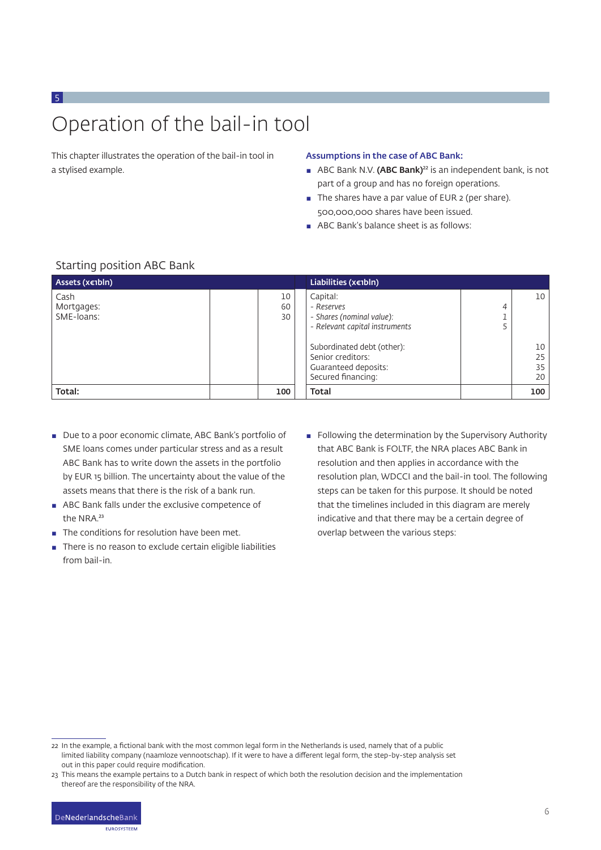# Operation of the bail-in tool

This chapter illustrates the operation of the bail-in tool in a stylised example.

#### Assumptions in the case of ABC Bank:

- **ABC Bank N.V. (ABC Bank)**<sup>22</sup> is an independent bank, is not part of a group and has no foreign operations.
- The shares have a par value of EUR 2 (per share). 500,000,000 shares have been issued.
- ABC Bank's balance sheet is as follows:

| bedi thing pobition not barin    |                |                                                                                                                                                                                        |        |                            |
|----------------------------------|----------------|----------------------------------------------------------------------------------------------------------------------------------------------------------------------------------------|--------|----------------------------|
| Assets (x€1bln)                  |                | Liabilities ( $x \in IbIn$ )                                                                                                                                                           |        |                            |
| Cash<br>Mortgages:<br>SME-loans: | 10<br>60<br>30 | Capital:<br>- Reserves<br>- Shares (nominal value):<br>- Relevant capital instruments<br>Subordinated debt (other):<br>Senior creditors:<br>Guaranteed deposits:<br>Secured financing: | 4<br>5 | 10<br>10<br>25<br>35<br>20 |
| Total:                           | 100            | <b>Total</b>                                                                                                                                                                           |        | 100                        |

#### Starting position ABC Bank

5

- Due to a poor economic climate, ABC Bank's portfolio of SME loans comes under particular stress and as a result ABC Bank has to write down the assets in the portfolio by EUR 15 billion. The uncertainty about the value of the assets means that there is the risk of a bank run.
- ABC Bank falls under the exclusive competence of the NRA.<sup>23</sup>
- The conditions for resolution have been met.
- There is no reason to exclude certain eligible liabilities from bail-in.
- Following the determination by the Supervisory Authority that ABC Bank is FOLTF, the NRA places ABC Bank in resolution and then applies in accordance with the resolution plan, WDCCI and the bail-in tool. The following steps can be taken for this purpose. It should be noted that the timelines included in this diagram are merely indicative and that there may be a certain degree of overlap between the various steps:

<sup>23</sup> This means the example pertains to a Dutch bank in respect of which both the resolution decision and the implementation thereof are the responsibility of the NRA.



<sup>22</sup> In the example, a fictional bank with the most common legal form in the Netherlands is used, namely that of a public limited liability company (naamloze vennootschap). If it were to have a different legal form, the step-by-step analysis set out in this paper could require modification.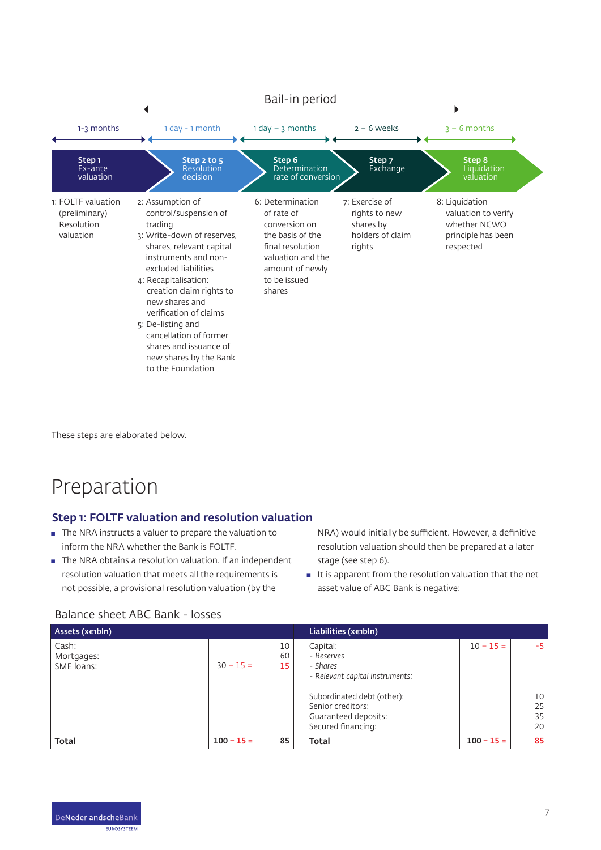

These steps are elaborated below.

### Preparation

#### Step 1: FOLTF valuation and resolution valuation

- $\blacksquare$  The NRA instructs a valuer to prepare the valuation to inform the NRA whether the Bank is FOLTF.
- The NRA obtains a resolution valuation. If an independent resolution valuation that meets all the requirements is not possible, a provisional resolution valuation (by the

NRA) would initially be sufficient. However, a definitive resolution valuation should then be prepared at a later stage (see step 6).

 $\blacksquare$  It is apparent from the resolution valuation that the net asset value of ABC Bank is negative:

#### Balance sheet ABC Bank - losses

| Assets (x€1bln)                   |              |                | Liabilities ( $x \in IbIn$ )                                                                                                                                           |              |                              |
|-----------------------------------|--------------|----------------|------------------------------------------------------------------------------------------------------------------------------------------------------------------------|--------------|------------------------------|
| Cash:<br>Mortgages:<br>SME loans: | $30 - 15 =$  | 10<br>60<br>15 | Capital:<br>- Reserves<br>- Shares<br>- Relevant capital instruments:<br>Subordinated debt (other):<br>Senior creditors:<br>Guaranteed deposits:<br>Secured financing: | $10 - 15 =$  | $-5$<br>10<br>25<br>35<br>20 |
| Total                             | $100 - 15 =$ | 85             | <b>Total</b>                                                                                                                                                           | $100 - 15 =$ | 85                           |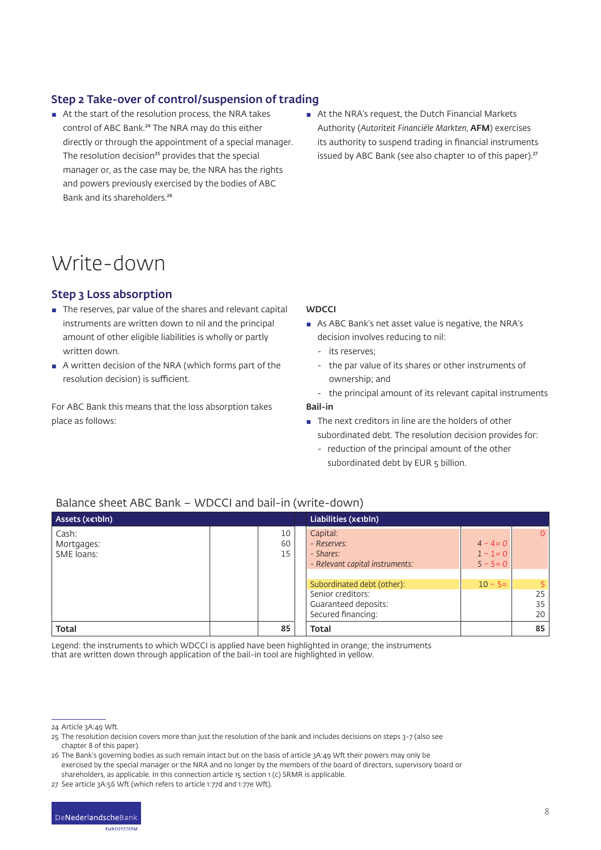#### Step 2 Take-over of control/suspension of trading

- At the start of the resolution process, the NRA takes control of ABC Bank.<sup>24</sup> The NRA may do this either directly or through the appointment of a special manager. The resolution decision<sup>25</sup> provides that the special manager or, as the case may be, the NRA has the rights and powers previously exercised by the bodies of ABC Bank and its shareholders.<sup>26</sup>
- At the NRA's request, the Dutch Financial Markets Authority (*Autoriteit Financiële Markten*, AFM) exercises its authority to suspend trading in financial instruments issued by ABC Bank (see also chapter 10 of this paper).<sup>27</sup>

### Write-down

#### Step 3 Loss absorption

- The reserves, par value of the shares and relevant capital instruments are written down to nil and the principal amount of other eligible liabilities is wholly or partly written down.
- A written decision of the NRA (which forms part of the resolution decision) is sufficient.

For ABC Bank this means that the loss absorption takes place as follows:

#### **WDCCI**

- As ABC Bank's net asset value is negative, the NRA's decision involves reducing to nil:
	- its reserves;
	- the par value of its shares or other instruments of ownership; and
	- the principal amount of its relevant capital instruments

#### Bail-in

- $\blacksquare$  The next creditors in line are the holders of other subordinated debt. The resolution decision provides for:
	- reduction of the principal amount of the other subordinated debt by EUR 5 billion.

#### Balance sheet ABC Bank – WDCCI and bail-in (write-down)

| Assets (x€1bln)                                     |                                                                                                       | Liabilities ( $x \in IbIn$ )                                    |                                  |                |
|-----------------------------------------------------|-------------------------------------------------------------------------------------------------------|-----------------------------------------------------------------|----------------------------------|----------------|
| Cash:<br>10<br>60<br>Mortgages:<br>SME loans:<br>15 | Capital:<br>- Reserves:<br>- Shares:<br>- Relevant capital instruments:<br>Subordinated debt (other): | $4 - 4 = 0$<br>$1 - 1 = 0$<br>$5 - 5 = 0$<br>$10 - 5 =$         | $\overline{0}$<br>5 <sup>1</sup> |                |
|                                                     |                                                                                                       | Senior creditors:<br>Guaranteed deposits:<br>Secured financing: |                                  | 25<br>35<br>20 |
| <b>Total</b>                                        | 85                                                                                                    | <b>Total</b>                                                    |                                  | 85             |

Legend: the instruments to which WDCCI is applied have been highlighted in orange; the instruments that are written down through application of the bail-in tool are highlighted in yellow.

26 The Bank's governing bodies as such remain intact but on the basis of article 3A:49 Wft their powers may only be exercised by the special manager or the NRA and no longer by the members of the board of directors, supervisory board or shareholders, as applicable. In this connection article 15 section 1 (c) SRMR is applicable.

27 See article 3A:56 Wft (which refers to article 1:77d and 1:77e Wft).



<sup>24</sup> Article 3A:49 Wft.

<sup>25</sup> The resolution decision covers more than just the resolution of the bank and includes decisions on steps 3-7 (also see chapter 8 of this paper).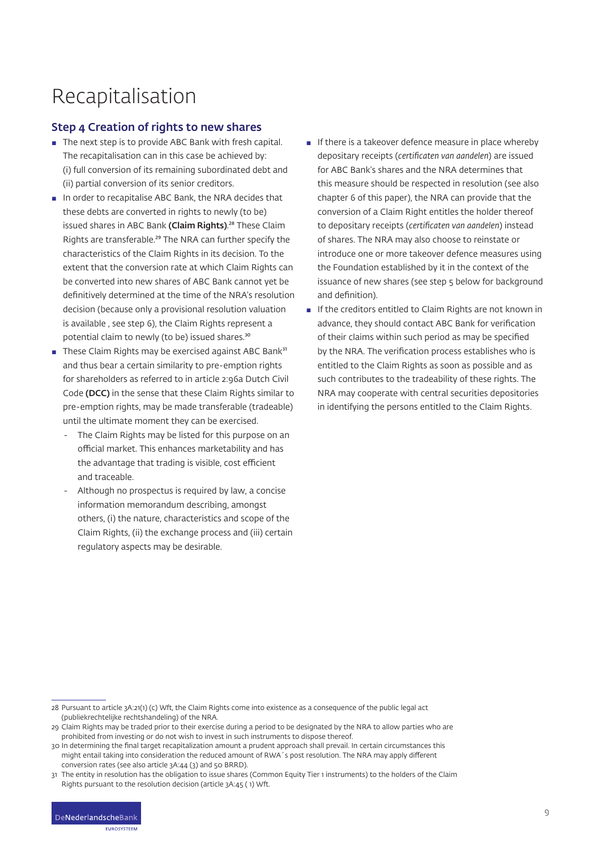## Recapitalisation

#### Step 4 Creation of rights to new shares

- The next step is to provide ABC Bank with fresh capital. The recapitalisation can in this case be achieved by: (i) full conversion of its remaining subordinated debt and (ii) partial conversion of its senior creditors.
- In order to recapitalise ABC Bank, the NRA decides that these debts are converted in rights to newly (to be) issued shares in ABC Bank (Claim Rights).<sup>28</sup> These Claim Rights are transferable.<sup>29</sup> The NRA can further specify the characteristics of the Claim Rights in its decision. To the extent that the conversion rate at which Claim Rights can be converted into new shares of ABC Bank cannot yet be definitively determined at the time of the NRA's resolution decision (because only a provisional resolution valuation is available , see step 6), the Claim Rights represent a potential claim to newly (to be) issued shares.<sup>30</sup>
- **These Claim Rights may be exercised against ABC Bank**<sup>31</sup> and thus bear a certain similarity to pre-emption rights for shareholders as referred to in article 2:96a Dutch Civil Code (DCC) in the sense that these Claim Rights similar to pre-emption rights, may be made transferable (tradeable) until the ultimate moment they can be exercised.
	- The Claim Rights may be listed for this purpose on an official market. This enhances marketability and has the advantage that trading is visible, cost efficient and traceable.
	- Although no prospectus is required by law, a concise information memorandum describing, amongst others, (i) the nature, characteristics and scope of the Claim Rights, (ii) the exchange process and (iii) certain regulatory aspects may be desirable.
- $\blacksquare$  If there is a takeover defence measure in place whereby depositary receipts (*certificaten van aandelen*) are issued for ABC Bank's shares and the NRA determines that this measure should be respected in resolution (see also chapter 6 of this paper), the NRA can provide that the conversion of a Claim Right entitles the holder thereof to depositary receipts (*certificaten van aandelen*) instead of shares. The NRA may also choose to reinstate or introduce one or more takeover defence measures using the Foundation established by it in the context of the issuance of new shares (see step 5 below for background and definition).
- **E** If the creditors entitled to Claim Rights are not known in advance, they should contact ABC Bank for verification of their claims within such period as may be specified by the NRA. The verification process establishes who is entitled to the Claim Rights as soon as possible and as such contributes to the tradeability of these rights. The NRA may cooperate with central securities depositories in identifying the persons entitled to the Claim Rights.

28 Pursuant to article 3A:21(1) (c) Wft, the Claim Rights come into existence as a consequence of the public legal act (publiekrechtelijke rechtshandeling) of the NRA.

<sup>29</sup> Claim Rights may be traded prior to their exercise during a period to be designated by the NRA to allow parties who are prohibited from investing or do not wish to invest in such instruments to dispose thereof.

<sup>30</sup> In determining the final target recapitalization amount a prudent approach shall prevail. In certain circumstances this might entail taking into consideration the reduced amount of RWA´s post resolution. The NRA may apply different conversion rates (see also article 3A:44 (3) and 50 BRRD).

<sup>31</sup> The entity in resolution has the obligation to issue shares (Common Equity Tier 1 instruments) to the holders of the Claim Rights pursuant to the resolution decision (article 3A:45 ( 1) Wft.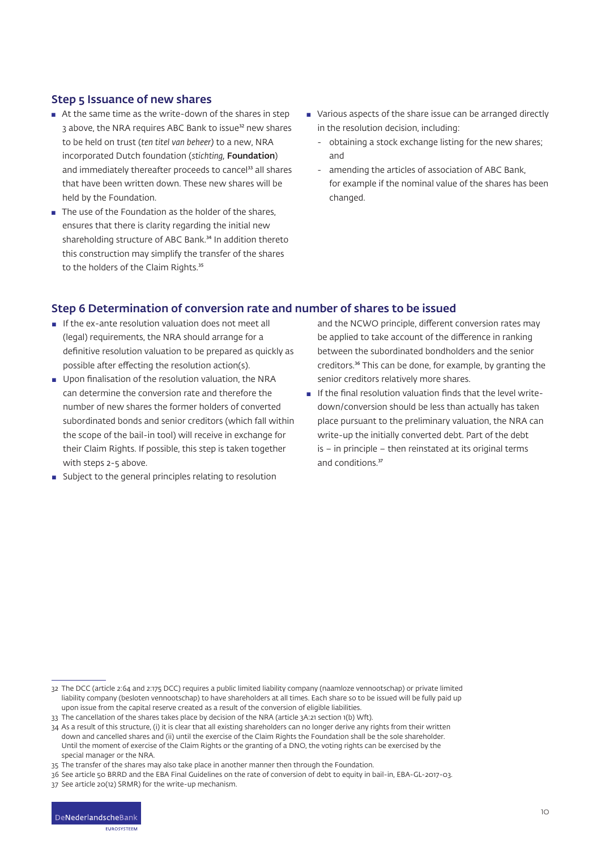#### Step 5 Issuance of new shares

- $\blacksquare$  At the same time as the write-down of the shares in step 3 above, the NRA requires ABC Bank to issue<sup>32</sup> new shares to be held on trust (*ten titel van beheer)* to a new, NRA incorporated Dutch foundation (*stichting,* Foundation) and immediately thereafter proceeds to cancel<sup>33</sup> all shares that have been written down. These new shares will be held by the Foundation.
- The use of the Foundation as the holder of the shares, ensures that there is clarity regarding the initial new shareholding structure of ABC Bank.<sup>34</sup> In addition thereto this construction may simplify the transfer of the shares to the holders of the Claim Rights.<sup>35</sup>
- Various aspects of the share issue can be arranged directly in the resolution decision, including:
	- obtaining a stock exchange listing for the new shares; and
	- amending the articles of association of ABC Bank, for example if the nominal value of the shares has been changed.

#### Step 6 Determination of conversion rate and number of shares to be issued

- $\blacksquare$  If the ex-ante resolution valuation does not meet all (legal) requirements, the NRA should arrange for a definitive resolution valuation to be prepared as quickly as possible after effecting the resolution action(s).
- **■** Upon finalisation of the resolution valuation, the NRA can determine the conversion rate and therefore the number of new shares the former holders of converted subordinated bonds and senior creditors (which fall within the scope of the bail-in tool) will receive in exchange for their Claim Rights. If possible, this step is taken together with steps 2-5 above.
- **B** Subject to the general principles relating to resolution

and the NCWO principle, different conversion rates may be applied to take account of the difference in ranking between the subordinated bondholders and the senior creditors.<sup>36</sup> This can be done, for example, by granting the senior creditors relatively more shares.

**If the final resolution valuation finds that the level write**down/conversion should be less than actually has taken place pursuant to the preliminary valuation, the NRA can write-up the initially converted debt. Part of the debt is – in principle – then reinstated at its original terms and conditions.<sup>37</sup>

<sup>32</sup> The DCC (article 2:64 and 2:175 DCC) requires a public limited liability company (naamloze vennootschap) or private limited liability company (besloten vennootschap) to have shareholders at all times. Each share so to be issued will be fully paid up upon issue from the capital reserve created as a result of the conversion of eligible liabilities.

<sup>33</sup> The cancellation of the shares takes place by decision of the NRA (article 3A:21 section 1(b) Wft).

<sup>34</sup> As a result of this structure, (i) it is clear that all existing shareholders can no longer derive any rights from their written down and cancelled shares and (ii) until the exercise of the Claim Rights the Foundation shall be the sole shareholder. Until the moment of exercise of the Claim Rights or the granting of a DNO, the voting rights can be exercised by the special manager or the NRA.

<sup>35</sup> The transfer of the shares may also take place in another manner then through the Foundation.

<sup>36</sup> See article 50 BRRD and the EBA Final Guidelines on the rate of conversion of debt to equity in bail-in, EBA-GL-2017-03.

<sup>37</sup> See article 20(12) SRMR) for the write-up mechanism.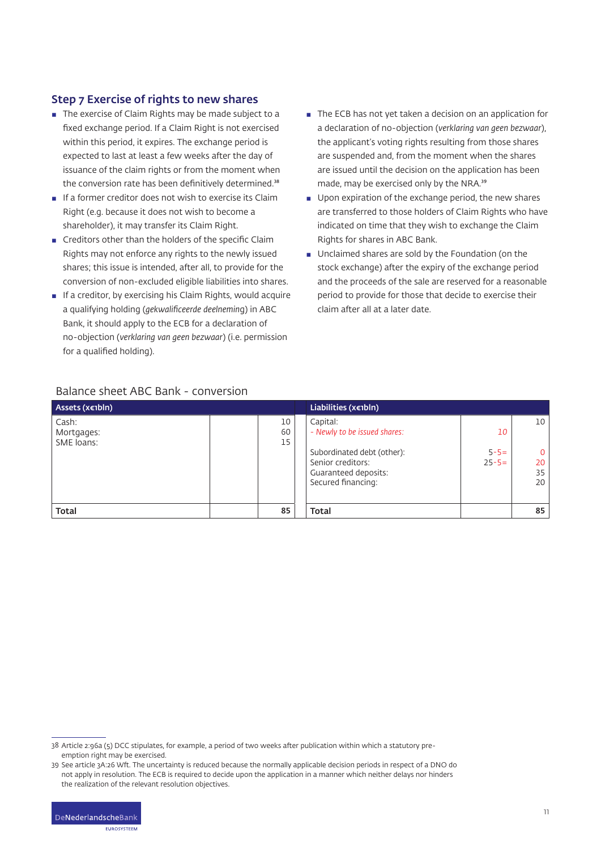#### Step 7 Exercise of rights to new shares

- The exercise of Claim Rights may be made subject to a fixed exchange period. If a Claim Right is not exercised within this period, it expires. The exchange period is expected to last at least a few weeks after the day of issuance of the claim rights or from the moment when the conversion rate has been definitively determined.<sup>38</sup>
- $\blacksquare$  If a former creditor does not wish to exercise its Claim Right (e.g. because it does not wish to become a shareholder), it may transfer its Claim Right.
- **EXECTED EXECTED FIGHTS CONTINUITY** Creditors other than the holders of the specific Claim Rights may not enforce any rights to the newly issued shares; this issue is intended, after all, to provide for the conversion of non-excluded eligible liabilities into shares.
- $\blacksquare$  If a creditor, by exercising his Claim Rights, would acquire a qualifying holding (*gekwalificeerde deelnemin*g) in ABC Bank, it should apply to the ECB for a declaration of no-objection (*verklaring van geen bezwaar*) (i.e. permission for a qualified holding).
- The ECB has not yet taken a decision on an application for a declaration of no-objection (*verklaring van geen bezwaar*), the applicant's voting rights resulting from those shares are suspended and, from the moment when the shares are issued until the decision on the application has been made, may be exercised only by the NRA.<sup>39</sup>
- Upon expiration of the exchange period, the new shares are transferred to those holders of Claim Rights who have indicated on time that they wish to exchange the Claim Rights for shares in ABC Bank.
- **■** Unclaimed shares are sold by the Foundation (on the stock exchange) after the expiry of the exchange period and the proceeds of the sale are reserved for a reasonable period to provide for those that decide to exercise their claim after all at a later date.

| Assets (x€1bln)                   |                | Liabilities ( $x \in IbIn$ )                                                                                                              |                               |                           |
|-----------------------------------|----------------|-------------------------------------------------------------------------------------------------------------------------------------------|-------------------------------|---------------------------|
| Cash:<br>Mortgages:<br>SME loans: | 10<br>60<br>15 | Capital:<br>- Newly to be issued shares:<br>Subordinated debt (other):<br>Senior creditors:<br>Guaranteed deposits:<br>Secured financing: | 10<br>$5 - 5 =$<br>$25 - 5 =$ | 10<br>0<br>20<br>35<br>20 |
| Total                             | 85             | <b>Total</b>                                                                                                                              |                               | 85                        |

#### Balance sheet ABC Bank - conversion

<sup>39</sup> See article 3A:26 Wft. The uncertainty is reduced because the normally applicable decision periods in respect of a DNO do not apply in resolution. The ECB is required to decide upon the application in a manner which neither delays nor hinders the realization of the relevant resolution objectives.



<sup>38</sup> Article 2:96a (5) DCC stipulates, for example, a period of two weeks after publication within which a statutory preemption right may be exercised.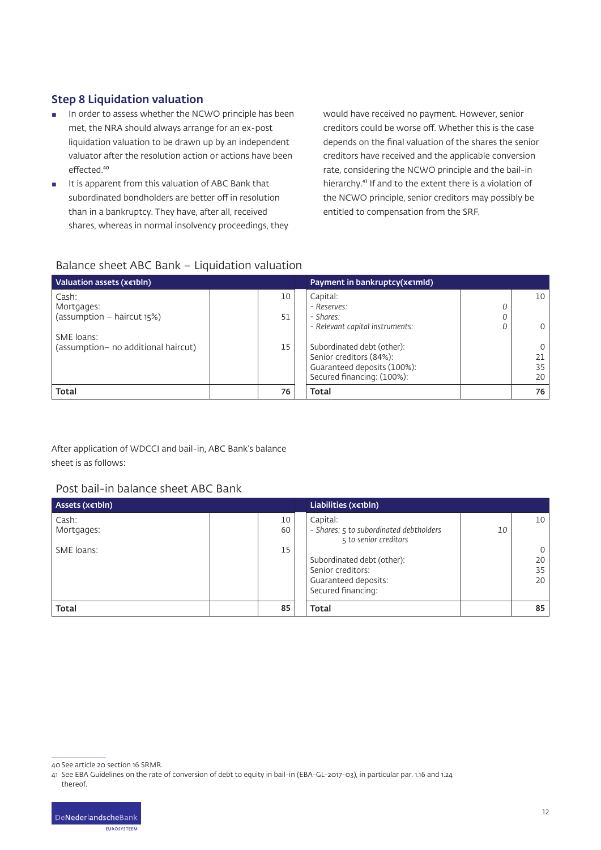#### Step 8 Liquidation valuation

- **In order to assess whether the NCWO principle has been** met, the NRA should always arrange for an ex-post liquidation valuation to be drawn up by an independent valuator after the resolution action or actions have been effected.<sup>40</sup>
- It is apparent from this valuation of ABC Bank that subordinated bondholders are better off in resolution than in a bankruptcy. They have, after all, received shares, whereas in normal insolvency proceedings, they

would have received no payment. However, senior creditors could be worse off. Whether this is the case depends on the final valuation of the shares the senior creditors have received and the applicable conversion rate, considering the NCWO principle and the bail-in hierarchy.<sup>41</sup> If and to the extent there is a violation of the NCWO principle, senior creditors may possibly be entitled to compensation from the SRF.

#### Balance sheet ABC Bank – Liquidation valuation

| Valuation assets ( $x \in IbIn$ )    |  | Payment in bankruptcy( $x \in I$ mld) |                                 |   |    |
|--------------------------------------|--|---------------------------------------|---------------------------------|---|----|
| Cash:                                |  | 10                                    | Capital:                        |   | 10 |
| Mortgages:                           |  |                                       | - Reserves:                     | 0 |    |
| $(assumption - haircut 15%)$         |  | 51                                    | - Shares:                       | 0 |    |
|                                      |  |                                       | - Relevant capital instruments: | 0 |    |
| SME loans:                           |  |                                       |                                 |   |    |
| (assumption - no additional haircut) |  | 15                                    | Subordinated debt (other):      |   |    |
|                                      |  |                                       | Senior creditors (84%):         |   | 21 |
|                                      |  |                                       | Guaranteed deposits (100%):     |   | 35 |
|                                      |  |                                       | Secured financing: (100%):      |   | 20 |
| <b>Total</b>                         |  | 76                                    | Total                           |   | 76 |

After application of WDCCI and bail-in, ABC Bank's balance sheet is as follows:

#### Post bail-in balance sheet ABC Bank

| Assets (x€1bln)     |          | Liabilities (x€1bln)                                                                          |                                  |
|---------------------|----------|-----------------------------------------------------------------------------------------------|----------------------------------|
| Cash:<br>Mortgages: | 10<br>60 | Capital:<br>- Shares: 5 to subordinated debtholders<br>10<br>5 to senior creditors            | 10                               |
| SME loans:          | 15       | Subordinated debt (other):<br>Senior creditors:<br>Guaranteed deposits:<br>Secured financing: | $\overline{0}$<br>20<br>35<br>20 |
| <b>Total</b>        | 85       | <b>Total</b>                                                                                  | 85                               |

<sup>40</sup>See article 20 section 16 SRMR.

<sup>41</sup> See EBA Guidelines on the rate of conversion of debt to equity in bail-in (EBA-GL-2017-03), in particular par. 1.16 and 1.24 thereof.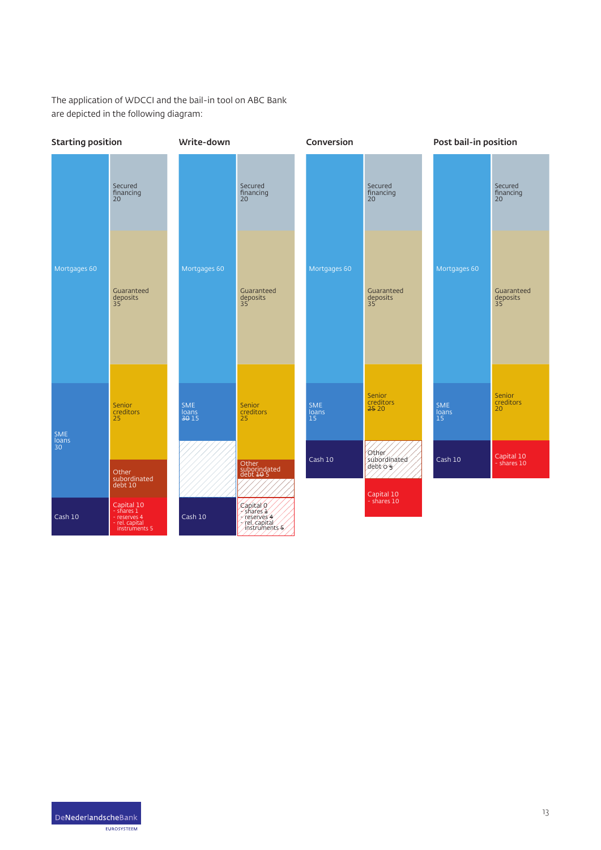The application of WDCCI and the bail-in tool on ABC Bank are depicted in the following diagram:

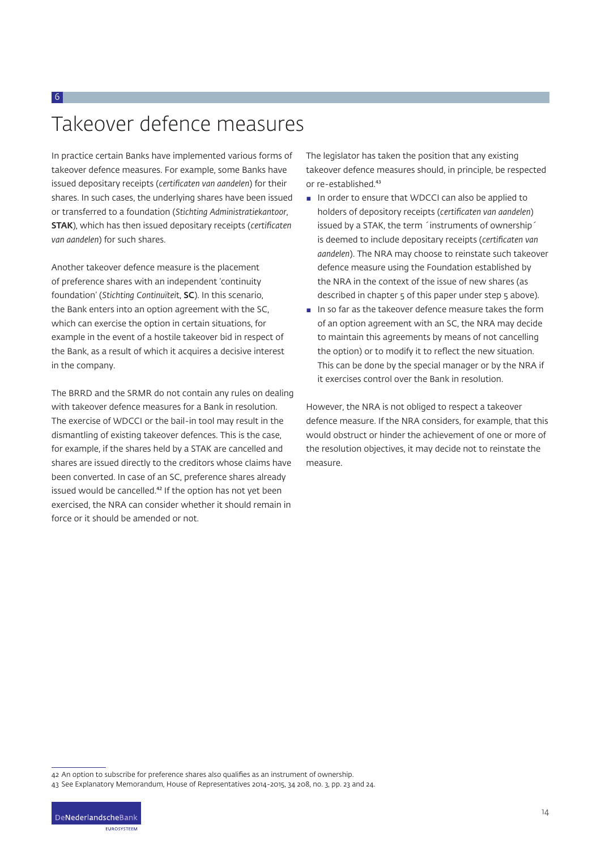## Takeover defence measures

6

In practice certain Banks have implemented various forms of takeover defence measures. For example, some Banks have issued depositary receipts (*certificaten van aandelen*) for their shares. In such cases, the underlying shares have been issued or transferred to a foundation (*Stichting Administratiekantoor*, STAK), which has then issued depositary receipts (*certificaten van aandelen*) for such shares.

Another takeover defence measure is the placement of preference shares with an independent 'continuity foundation' (*Stichting Continuïtei*t, SC). In this scenario, the Bank enters into an option agreement with the SC, which can exercise the option in certain situations, for example in the event of a hostile takeover bid in respect of the Bank, as a result of which it acquires a decisive interest in the company.

The BRRD and the SRMR do not contain any rules on dealing with takeover defence measures for a Bank in resolution. The exercise of WDCCI or the bail-in tool may result in the dismantling of existing takeover defences. This is the case, for example, if the shares held by a STAK are cancelled and shares are issued directly to the creditors whose claims have been converted. In case of an SC, preference shares already issued would be cancelled.<sup>42</sup> If the option has not yet been exercised, the NRA can consider whether it should remain in force or it should be amended or not.

The legislator has taken the position that any existing takeover defence measures should, in principle, be respected or re-established.<sup>43</sup>

- In order to ensure that WDCCI can also be applied to holders of depository receipts (*certificaten van aandelen*) issued by a STAK, the term ´instruments of ownership´ is deemed to include depositary receipts (*certificaten van aandelen*). The NRA may choose to reinstate such takeover defence measure using the Foundation established by the NRA in the context of the issue of new shares (as described in chapter 5 of this paper under step 5 above).
- In so far as the takeover defence measure takes the form of an option agreement with an SC, the NRA may decide to maintain this agreements by means of not cancelling the option) or to modify it to reflect the new situation. This can be done by the special manager or by the NRA if it exercises control over the Bank in resolution.

However, the NRA is not obliged to respect a takeover defence measure. If the NRA considers, for example, that this would obstruct or hinder the achievement of one or more of the resolution objectives, it may decide not to reinstate the measure.

**ELIDOSVETEEM** 

<sup>42</sup> An option to subscribe for preference shares also qualifies as an instrument of ownership.

<sup>43</sup> See Explanatory Memorandum, House of Representatives 2014-2015, 34 208, no. 3, pp. 23 and 24.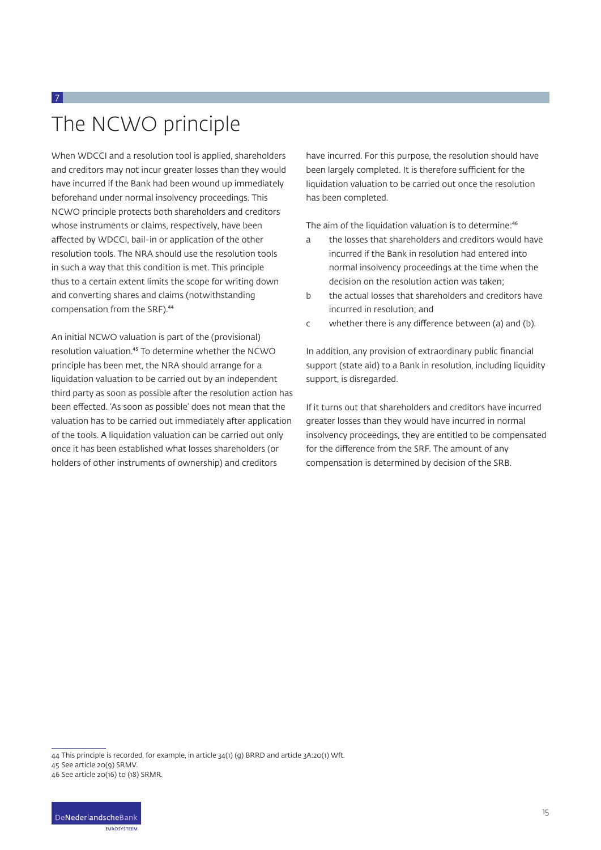# The NCWO principle

7

When WDCCI and a resolution tool is applied, shareholders and creditors may not incur greater losses than they would have incurred if the Bank had been wound up immediately beforehand under normal insolvency proceedings. This NCWO principle protects both shareholders and creditors whose instruments or claims, respectively, have been affected by WDCCI, bail-in or application of the other resolution tools. The NRA should use the resolution tools in such a way that this condition is met. This principle thus to a certain extent limits the scope for writing down and converting shares and claims (notwithstanding compensation from the SRF).<sup>44</sup>

An initial NCWO valuation is part of the (provisional) resolution valuation.<sup>45</sup> To determine whether the NCWO principle has been met, the NRA should arrange for a liquidation valuation to be carried out by an independent third party as soon as possible after the resolution action has been effected. 'As soon as possible' does not mean that the valuation has to be carried out immediately after application of the tools. A liquidation valuation can be carried out only once it has been established what losses shareholders (or holders of other instruments of ownership) and creditors

have incurred. For this purpose, the resolution should have been largely completed. It is therefore sufficient for the liquidation valuation to be carried out once the resolution has been completed.

The aim of the liquidation valuation is to determine:<sup>46</sup>

- a the losses that shareholders and creditors would have incurred if the Bank in resolution had entered into normal insolvency proceedings at the time when the decision on the resolution action was taken;
- b the actual losses that shareholders and creditors have incurred in resolution; and
- c whether there is any difference between (a) and (b).

In addition, any provision of extraordinary public financial support (state aid) to a Bank in resolution, including liquidity support, is disregarded.

If it turns out that shareholders and creditors have incurred greater losses than they would have incurred in normal insolvency proceedings, they are entitled to be compensated for the difference from the SRF. The amount of any compensation is determined by decision of the SRB.

**ELIDOSVETEEM** 

<sup>44</sup> This principle is recorded, for example, in article 34(1) (g) BRRD and article 3A:20(1) Wft.

<sup>45</sup> See article 20(9) SRMV.

<sup>46</sup> See article 20(16) to (18) SRMR.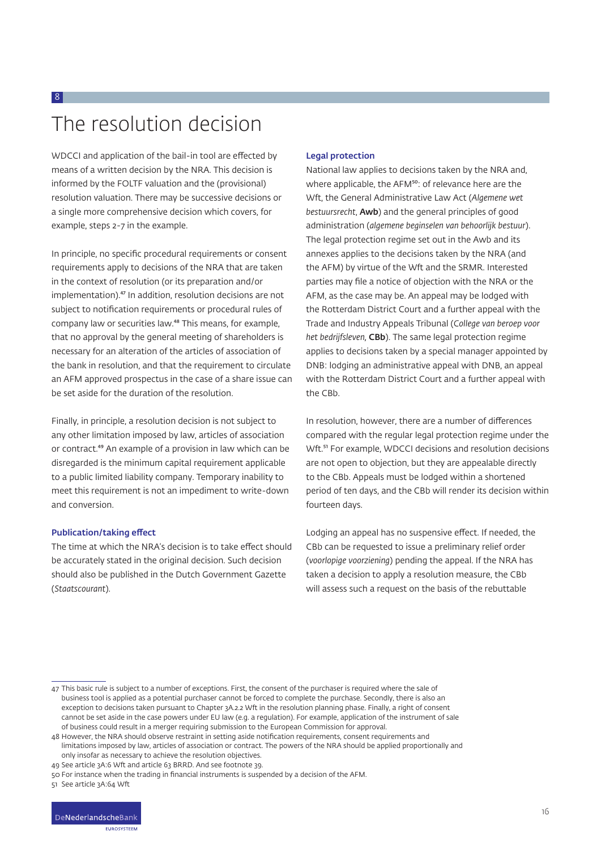## The resolution decision

8

WDCCI and application of the bail-in tool are effected by means of a written decision by the NRA. This decision is informed by the FOLTF valuation and the (provisional) resolution valuation. There may be successive decisions or a single more comprehensive decision which covers, for example, steps 2-7 in the example.

In principle, no specific procedural requirements or consent requirements apply to decisions of the NRA that are taken in the context of resolution (or its preparation and/or implementation).<sup>47</sup> In addition, resolution decisions are not subject to notification requirements or procedural rules of company law or securities law.<sup>48</sup> This means, for example, that no approval by the general meeting of shareholders is necessary for an alteration of the articles of association of the bank in resolution, and that the requirement to circulate an AFM approved prospectus in the case of a share issue can be set aside for the duration of the resolution.

Finally, in principle, a resolution decision is not subject to any other limitation imposed by law, articles of association or contract.<sup>49</sup> An example of a provision in law which can be disregarded is the minimum capital requirement applicable to a public limited liability company. Temporary inability to meet this requirement is not an impediment to write-down and conversion.

#### Publication/taking effect

The time at which the NRA's decision is to take effect should be accurately stated in the original decision. Such decision should also be published in the Dutch Government Gazette (*Staatscourant*).

#### Legal protection

National law applies to decisions taken by the NRA and, where applicable, the AFM<sup>50</sup>: of relevance here are the Wft, the General Administrative Law Act (*Algemene wet bestuursrecht*, Awb) and the general principles of good administration (*algemene beginselen van behoorlijk bestuur*). The legal protection regime set out in the Awb and its annexes applies to the decisions taken by the NRA (and the AFM) by virtue of the Wft and the SRMR. Interested parties may file a notice of objection with the NRA or the AFM, as the case may be. An appeal may be lodged with the Rotterdam District Court and a further appeal with the Trade and Industry Appeals Tribunal (*College van beroep voor het bedrijfsleven,* CBb). The same legal protection regime applies to decisions taken by a special manager appointed by DNB: lodging an administrative appeal with DNB, an appeal with the Rotterdam District Court and a further appeal with the CBb.

In resolution, however, there are a number of differences compared with the regular legal protection regime under the Wft.<sup>51</sup> For example, WDCCI decisions and resolution decisions are not open to objection, but they are appealable directly to the CBb. Appeals must be lodged within a shortened period of ten days, and the CBb will render its decision within fourteen days.

Lodging an appeal has no suspensive effect. If needed, the CBb can be requested to issue a preliminary relief order (*voorlopige voorziening*) pending the appeal. If the NRA has taken a decision to apply a resolution measure, the CBb will assess such a request on the basis of the rebuttable

51 See article 3A:64 Wft

<sup>47</sup> This basic rule is subject to a number of exceptions. First, the consent of the purchaser is required where the sale of business tool is applied as a potential purchaser cannot be forced to complete the purchase. Secondly, there is also an exception to decisions taken pursuant to Chapter 3A.2.2 Wft in the resolution planning phase. Finally, a right of consent cannot be set aside in the case powers under EU law (e.g. a regulation). For example, application of the instrument of sale of business could result in a merger requiring submission to the European Commission for approval.

<sup>48</sup> However, the NRA should observe restraint in setting aside notification requirements, consent requirements and limitations imposed by law, articles of association or contract. The powers of the NRA should be applied proportionally and

only insofar as necessary to achieve the resolution objectives.

<sup>49</sup> See article 3A:6 Wft and article 63 BRRD. And see footnote 39.

<sup>50</sup> For instance when the trading in financial instruments is suspended by a decision of the AFM.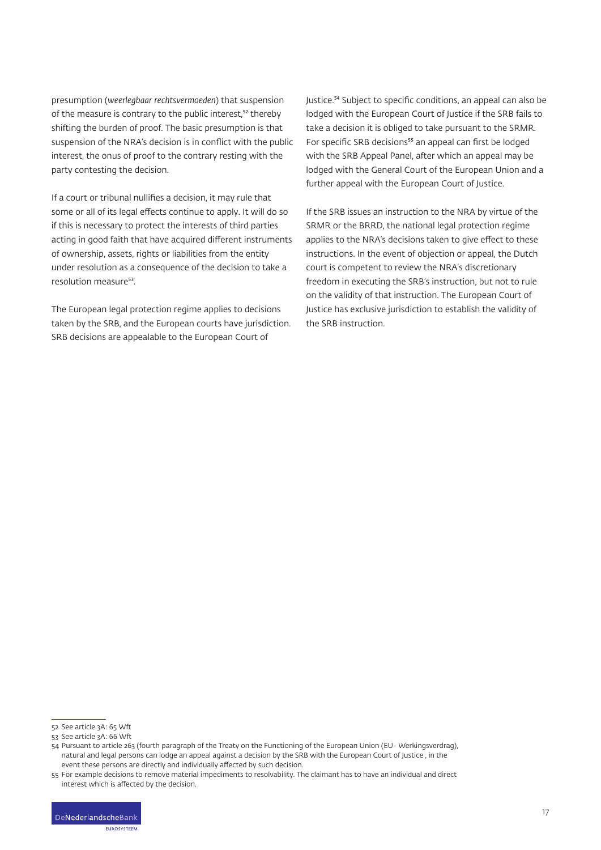presumption (*weerlegbaar rechtsvermoeden*) that suspension of the measure is contrary to the public interest,<sup>52</sup> thereby shifting the burden of proof. The basic presumption is that suspension of the NRA's decision is in conflict with the public interest, the onus of proof to the contrary resting with the party contesting the decision.

If a court or tribunal nullifies a decision, it may rule that some or all of its legal effects continue to apply. It will do so if this is necessary to protect the interests of third parties acting in good faith that have acquired different instruments of ownership, assets, rights or liabilities from the entity under resolution as a consequence of the decision to take a resolution measure<sup>53</sup>.

The European legal protection regime applies to decisions taken by the SRB, and the European courts have jurisdiction. SRB decisions are appealable to the European Court of

Justice.⁵⁴ Subject to specific conditions, an appeal can also be lodged with the European Court of Justice if the SRB fails to take a decision it is obliged to take pursuant to the SRMR. For specific SRB decisions<sup>55</sup> an appeal can first be lodged with the SRB Appeal Panel, after which an appeal may be lodged with the General Court of the European Union and a further appeal with the European Court of Justice.

If the SRB issues an instruction to the NRA by virtue of the SRMR or the BRRD, the national legal protection regime applies to the NRA's decisions taken to give effect to these instructions. In the event of objection or appeal, the Dutch court is competent to review the NRA's discretionary freedom in executing the SRB's instruction, but not to rule on the validity of that instruction. The European Court of Justice has exclusive jurisdiction to establish the validity of the SRB instruction.

<sup>52</sup> See article 3A: 65 Wft

<sup>53</sup> See article 3A: 66 Wft

<sup>54</sup> Pursuant to article 263 (fourth paragraph of the Treaty on the Functioning of the European Union (EU- Werkingsverdrag), natural and legal persons can lodge an appeal against a decision by the SRB with the European Court of Justice , in the event these persons are directly and individually affected by such decision.

<sup>55</sup> For example decisions to remove material impediments to resolvability. The claimant has to have an individual and direct interest which is affected by the decision.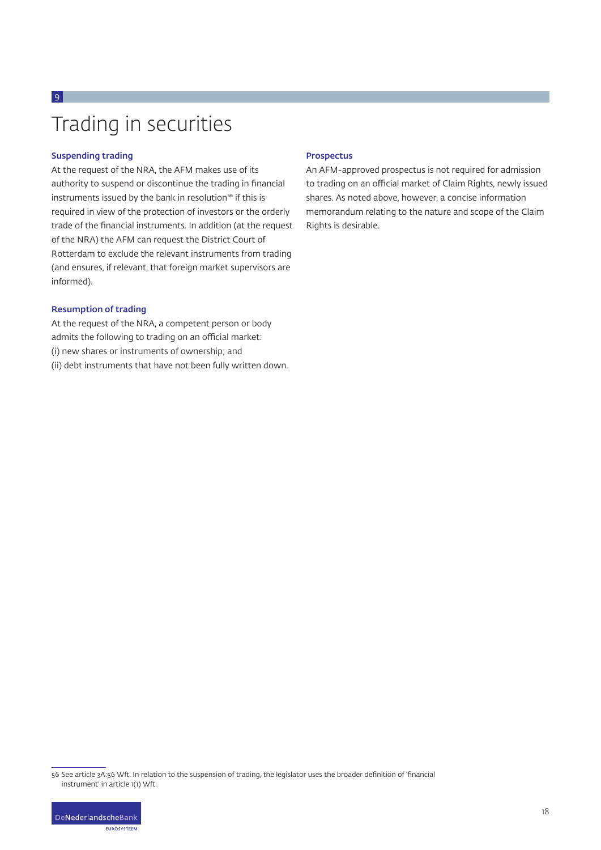# Trading in securities

#### Suspending trading

 $\overline{9}$ 

At the request of the NRA, the AFM makes use of its authority to suspend or discontinue the trading in financial instruments issued by the bank in resolution<sup>56</sup> if this is required in view of the protection of investors or the orderly trade of the financial instruments. In addition (at the request of the NRA) the AFM can request the District Court of Rotterdam to exclude the relevant instruments from trading (and ensures, if relevant, that foreign market supervisors are informed).

#### Resumption of trading

At the request of the NRA, a competent person or body admits the following to trading on an official market: (i) new shares or instruments of ownership; and (ii) debt instruments that have not been fully written down.

#### Prospectus

An AFM-approved prospectus is not required for admission to trading on an official market of Claim Rights, newly issued shares. As noted above, however, a concise information memorandum relating to the nature and scope of the Claim Rights is desirable.

<sup>56</sup> See article 3A:56 Wft. In relation to the suspension of trading, the legislator uses the broader definition of 'financial instrument' in article 1(1) Wft.

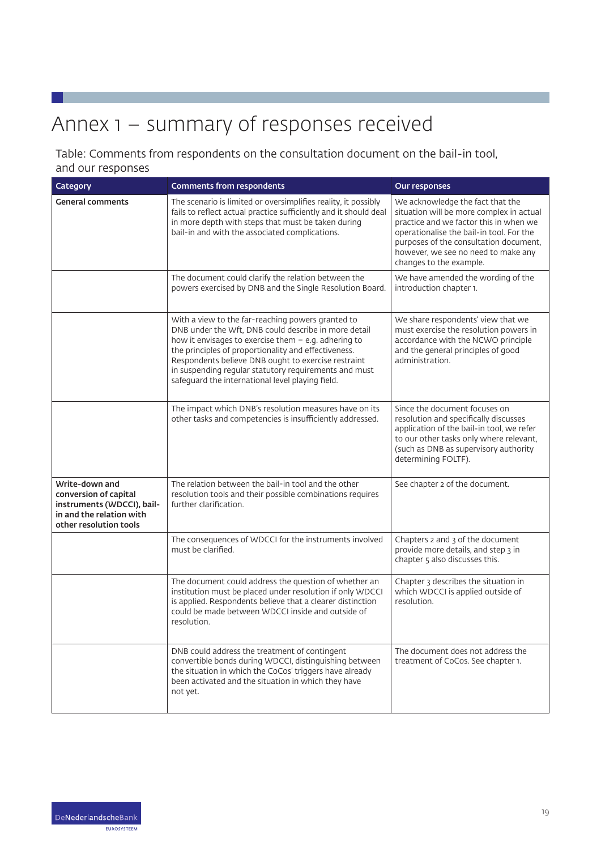# Annex 1 – summary of responses received

#### Table: Comments from respondents on the consultation document on the bail-in tool, and our responses

| Category                                                                                                                    | <b>Comments from respondents</b>                                                                                                                                                                                                                                                                                                                                                                | Our responses                                                                                                                                                                                                                                                                  |
|-----------------------------------------------------------------------------------------------------------------------------|-------------------------------------------------------------------------------------------------------------------------------------------------------------------------------------------------------------------------------------------------------------------------------------------------------------------------------------------------------------------------------------------------|--------------------------------------------------------------------------------------------------------------------------------------------------------------------------------------------------------------------------------------------------------------------------------|
| <b>General comments</b>                                                                                                     | The scenario is limited or oversimplifies reality, it possibly<br>fails to reflect actual practice sufficiently and it should deal<br>in more depth with steps that must be taken during<br>bail-in and with the associated complications.                                                                                                                                                      | We acknowledge the fact that the<br>situation will be more complex in actual<br>practice and we factor this in when we<br>operationalise the bail-in tool. For the<br>purposes of the consultation document,<br>however, we see no need to make any<br>changes to the example. |
|                                                                                                                             | The document could clarify the relation between the<br>powers exercised by DNB and the Single Resolution Board.                                                                                                                                                                                                                                                                                 | We have amended the wording of the<br>introduction chapter 1.                                                                                                                                                                                                                  |
|                                                                                                                             | With a view to the far-reaching powers granted to<br>DNB under the Wft, DNB could describe in more detail<br>how it envisages to exercise them $-$ e.g. adhering to<br>the principles of proportionality and effectiveness.<br>Respondents believe DNB ought to exercise restraint<br>in suspending regular statutory requirements and must<br>safeguard the international level playing field. | We share respondents' view that we<br>must exercise the resolution powers in<br>accordance with the NCWO principle<br>and the general principles of good<br>administration.                                                                                                    |
|                                                                                                                             | The impact which DNB's resolution measures have on its<br>other tasks and competencies is insufficiently addressed.                                                                                                                                                                                                                                                                             | Since the document focuses on<br>resolution and specifically discusses<br>application of the bail-in tool, we refer<br>to our other tasks only where relevant,<br>(such as DNB as supervisory authority<br>determining FOLTF).                                                 |
| Write-down and<br>conversion of capital<br>instruments (WDCCI), bail-<br>in and the relation with<br>other resolution tools | The relation between the bail-in tool and the other<br>resolution tools and their possible combinations requires<br>further clarification.                                                                                                                                                                                                                                                      | See chapter 2 of the document.                                                                                                                                                                                                                                                 |
|                                                                                                                             | The consequences of WDCCI for the instruments involved<br>must be clarified.                                                                                                                                                                                                                                                                                                                    | Chapters 2 and 3 of the document<br>provide more details, and step 3 in<br>chapter 5 also discusses this.                                                                                                                                                                      |
|                                                                                                                             | The document could address the question of whether an<br>institution must be placed under resolution if only WDCCI<br>is applied. Respondents believe that a clearer distinction<br>could be made between WDCCI inside and outside of<br>resolution.                                                                                                                                            | Chapter 3 describes the situation in<br>which WDCCI is applied outside of<br>resolution.                                                                                                                                                                                       |
|                                                                                                                             | DNB could address the treatment of contingent<br>convertible bonds during WDCCI, distinguishing between<br>the situation in which the CoCos' triggers have already<br>been activated and the situation in which they have<br>not yet.                                                                                                                                                           | The document does not address the<br>treatment of CoCos. See chapter 1.                                                                                                                                                                                                        |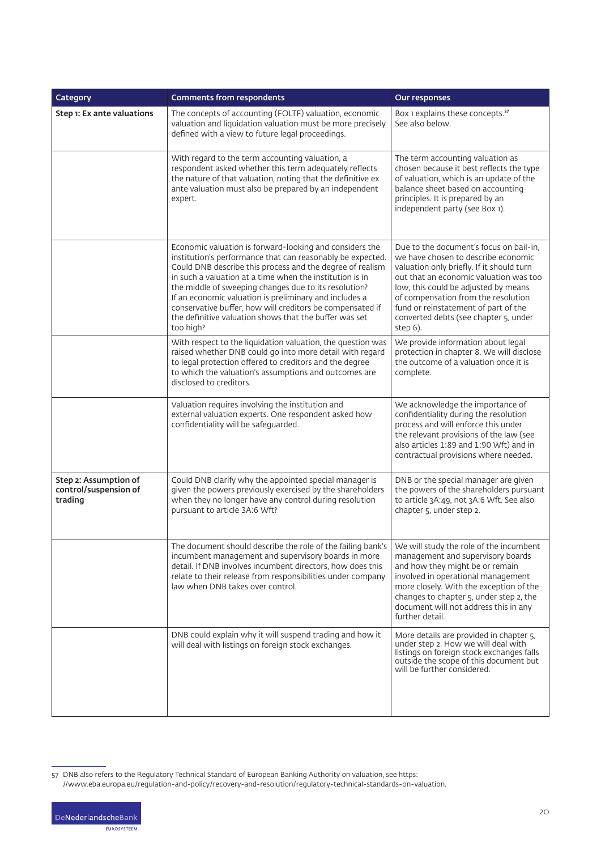| Category                                                  | <b>Comments from respondents</b>                                                                                                                                                                                                                                                                                                                                                                                                                                                                      | Our responses                                                                                                                                                                                                                                                                                                                                     |
|-----------------------------------------------------------|-------------------------------------------------------------------------------------------------------------------------------------------------------------------------------------------------------------------------------------------------------------------------------------------------------------------------------------------------------------------------------------------------------------------------------------------------------------------------------------------------------|---------------------------------------------------------------------------------------------------------------------------------------------------------------------------------------------------------------------------------------------------------------------------------------------------------------------------------------------------|
| Step 1: Ex ante valuations                                | The concepts of accounting (FOLTF) valuation, economic<br>valuation and liquidation valuation must be more precisely<br>defined with a view to future legal proceedings.                                                                                                                                                                                                                                                                                                                              | Box 1 explains these concepts. <sup>57</sup><br>See also below.                                                                                                                                                                                                                                                                                   |
|                                                           | With regard to the term accounting valuation, a<br>respondent asked whether this term adequately reflects<br>the nature of that valuation, noting that the definitive ex<br>ante valuation must also be prepared by an independent<br>expert.                                                                                                                                                                                                                                                         | The term accounting valuation as<br>chosen because it best reflects the type<br>of valuation, which is an update of the<br>balance sheet based on accounting<br>principles. It is prepared by an<br>independent party (see Box 1).                                                                                                                |
|                                                           | Economic valuation is forward-looking and considers the<br>institution's performance that can reasonably be expected.<br>Could DNB describe this process and the degree of realism<br>in such a valuation at a time when the institution is in<br>the middle of sweeping changes due to its resolution?<br>If an economic valuation is preliminary and includes a<br>conservative buffer, how will creditors be compensated if<br>the definitive valuation shows that the buffer was set<br>too high? | Due to the document's focus on bail-in,<br>we have chosen to describe economic<br>valuation only briefly. If it should turn<br>out that an economic valuation was too<br>low, this could be adjusted by means<br>of compensation from the resolution<br>fund or reinstatement of part of the<br>converted debts (see chapter 5, under<br>step 6). |
|                                                           | With respect to the liquidation valuation, the question was<br>raised whether DNB could go into more detail with regard<br>to legal protection offered to creditors and the degree<br>to which the valuation's assumptions and outcomes are<br>disclosed to creditors.                                                                                                                                                                                                                                | We provide information about legal<br>protection in chapter 8. We will disclose<br>the outcome of a valuation once it is<br>complete.                                                                                                                                                                                                             |
|                                                           | Valuation requires involving the institution and<br>external valuation experts. One respondent asked how<br>confidentiality will be safeguarded.                                                                                                                                                                                                                                                                                                                                                      | We acknowledge the importance of<br>confidentiality during the resolution<br>process and will enforce this under<br>the relevant provisions of the law (see<br>also articles 1:89 and 1:90 Wft) and in<br>contractual provisions where needed.                                                                                                    |
| Step 2: Assumption of<br>control/suspension of<br>trading | Could DNB clarify why the appointed special manager is<br>given the powers previously exercised by the shareholders<br>when they no longer have any control during resolution<br>pursuant to article 3A:6 Wft?                                                                                                                                                                                                                                                                                        | DNB or the special manager are given<br>the powers of the shareholders pursuant<br>to article 3A:49, not 3A:6 Wft. See also<br>chapter 5, under step 2.                                                                                                                                                                                           |
|                                                           | The document should describe the role of the failing bank's<br>incumbent management and supervisory boards in more<br>detail. If DNB involves incumbent directors, how does this<br>relate to their release from responsibilities under company<br>law when DNB takes over control.                                                                                                                                                                                                                   | We will study the role of the incumbent<br>management and supervisory boards<br>and how they might be or remain<br>involved in operational management<br>more closely. With the exception of the<br>changes to chapter 5, under step 2, the<br>document will not address this in any<br>further detail.                                           |
|                                                           | DNB could explain why it will suspend trading and how it<br>will deal with listings on foreign stock exchanges.                                                                                                                                                                                                                                                                                                                                                                                       | More details are provided in chapter 5,<br>under step 2. How we will deal with<br>listings on foreign stock exchanges falls<br>outside the scope of this document but<br>will be further considered.                                                                                                                                              |

<sup>//</sup>www.eba.europa.eu/regulation-and-policy/recovery-and-resolution/regulatory-technical-standards-on-valuation.



<sup>57</sup> DNB also refers to the Regulatory Technical Standard of European Banking Authority on valuation, see https: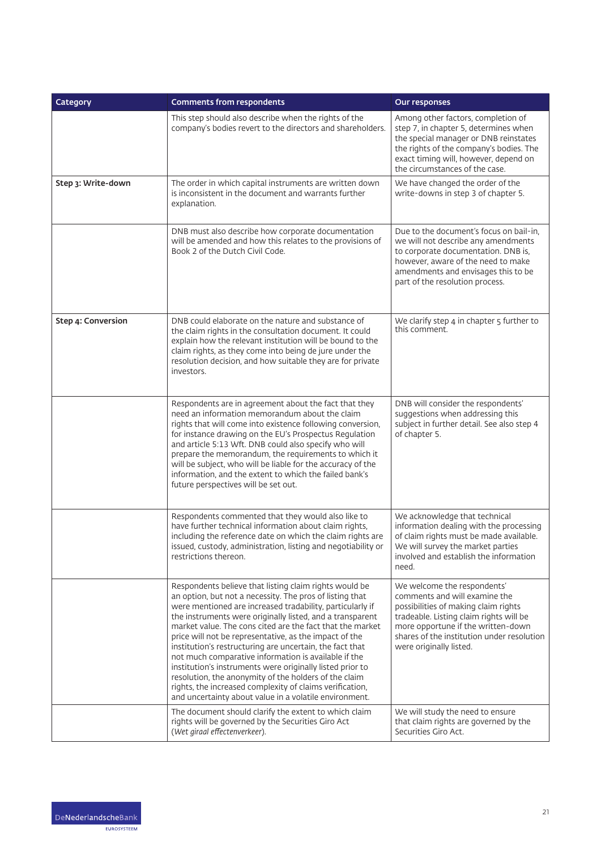| Category           | <b>Comments from respondents</b>                                                                                                                                                                                                                                                                                                                                                                                                                                                                                                                                                                                                                                                                                                    | Our responses                                                                                                                                                                                                                                                  |
|--------------------|-------------------------------------------------------------------------------------------------------------------------------------------------------------------------------------------------------------------------------------------------------------------------------------------------------------------------------------------------------------------------------------------------------------------------------------------------------------------------------------------------------------------------------------------------------------------------------------------------------------------------------------------------------------------------------------------------------------------------------------|----------------------------------------------------------------------------------------------------------------------------------------------------------------------------------------------------------------------------------------------------------------|
|                    | This step should also describe when the rights of the<br>company's bodies revert to the directors and shareholders.                                                                                                                                                                                                                                                                                                                                                                                                                                                                                                                                                                                                                 | Among other factors, completion of<br>step 7, in chapter 5, determines when<br>the special manager or DNB reinstates<br>the rights of the company's bodies. The<br>exact timing will, however, depend on<br>the circumstances of the case.                     |
| Step 3: Write-down | The order in which capital instruments are written down<br>is inconsistent in the document and warrants further<br>explanation.                                                                                                                                                                                                                                                                                                                                                                                                                                                                                                                                                                                                     | We have changed the order of the<br>write-downs in step 3 of chapter 5.                                                                                                                                                                                        |
|                    | DNB must also describe how corporate documentation<br>will be amended and how this relates to the provisions of<br>Book 2 of the Dutch Civil Code.                                                                                                                                                                                                                                                                                                                                                                                                                                                                                                                                                                                  | Due to the document's focus on bail-in.<br>we will not describe any amendments<br>to corporate documentation. DNB is,<br>however, aware of the need to make<br>amendments and envisages this to be<br>part of the resolution process.                          |
| Step 4: Conversion | DNB could elaborate on the nature and substance of<br>the claim rights in the consultation document. It could<br>explain how the relevant institution will be bound to the<br>claim rights, as they come into being de jure under the<br>resolution decision, and how suitable they are for private<br>investors.                                                                                                                                                                                                                                                                                                                                                                                                                   | We clarify step 4 in chapter 5 further to<br>this comment.                                                                                                                                                                                                     |
|                    | Respondents are in agreement about the fact that they<br>need an information memorandum about the claim<br>rights that will come into existence following conversion,<br>for instance drawing on the EU's Prospectus Regulation<br>and article 5:13 Wft. DNB could also specify who will<br>prepare the memorandum, the requirements to which it<br>will be subject, who will be liable for the accuracy of the<br>information, and the extent to which the failed bank's<br>future perspectives will be set out.                                                                                                                                                                                                                   | DNB will consider the respondents'<br>suggestions when addressing this<br>subject in further detail. See also step 4<br>of chapter 5.                                                                                                                          |
|                    | Respondents commented that they would also like to<br>have further technical information about claim rights,<br>including the reference date on which the claim rights are<br>issued, custody, administration, listing and negotiability or<br>restrictions thereon.                                                                                                                                                                                                                                                                                                                                                                                                                                                                | We acknowledge that technical<br>information dealing with the processing<br>of claim rights must be made available.<br>We will survey the market parties<br>involved and establish the information<br>need.                                                    |
|                    | Respondents believe that listing claim rights would be<br>an option, but not a necessity. The pros of listing that<br>were mentioned are increased tradability, particularly if<br>the instruments were originally listed, and a transparent<br>market value. The cons cited are the fact that the market<br>price will not be representative, as the impact of the<br>institution's restructuring are uncertain, the fact that<br>not much comparative information is available if the<br>institution's instruments were originally listed prior to<br>resolution, the anonymity of the holders of the claim<br>rights, the increased complexity of claims verification,<br>and uncertainty about value in a volatile environment. | We welcome the respondents'<br>comments and will examine the<br>possibilities of making claim rights<br>tradeable. Listing claim rights will be<br>more opportune if the written-down<br>shares of the institution under resolution<br>were originally listed. |
|                    | The document should clarify the extent to which claim<br>rights will be governed by the Securities Giro Act<br>(Wet giraal effectenverkeer).                                                                                                                                                                                                                                                                                                                                                                                                                                                                                                                                                                                        | We will study the need to ensure<br>that claim rights are governed by the<br>Securities Giro Act.                                                                                                                                                              |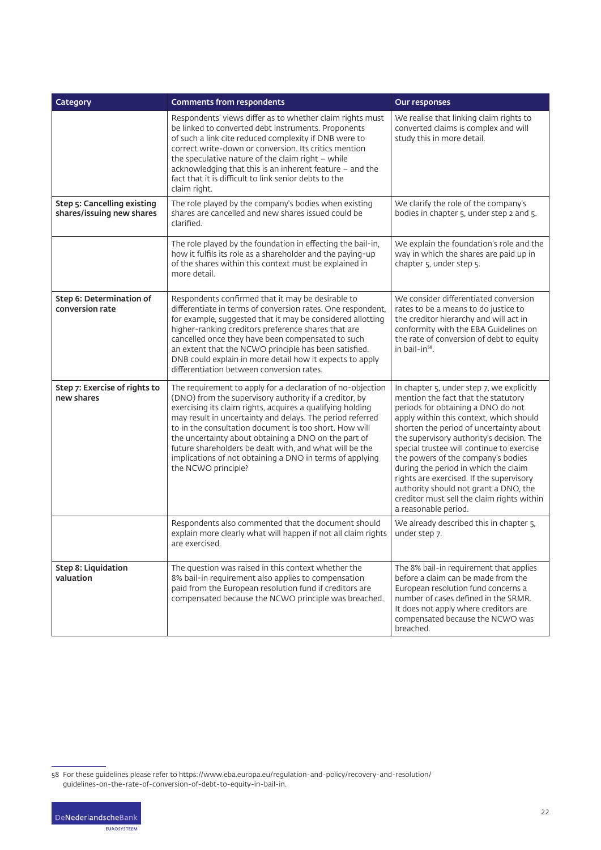| Category                                                 | <b>Comments from respondents</b>                                                                                                                                                                                                                                                                                                                                                                                                                                                                                | Our responses                                                                                                                                                                                                                                                                                                                                                                                                                                                                                                                                   |
|----------------------------------------------------------|-----------------------------------------------------------------------------------------------------------------------------------------------------------------------------------------------------------------------------------------------------------------------------------------------------------------------------------------------------------------------------------------------------------------------------------------------------------------------------------------------------------------|-------------------------------------------------------------------------------------------------------------------------------------------------------------------------------------------------------------------------------------------------------------------------------------------------------------------------------------------------------------------------------------------------------------------------------------------------------------------------------------------------------------------------------------------------|
|                                                          | Respondents' views differ as to whether claim rights must<br>be linked to converted debt instruments. Proponents<br>of such a link cite reduced complexity if DNB were to<br>correct write-down or conversion. Its critics mention<br>the speculative nature of the claim right $-$ while<br>acknowledging that this is an inherent feature - and the<br>fact that it is difficult to link senior debts to the<br>claim right.                                                                                  | We realise that linking claim rights to<br>converted claims is complex and will<br>study this in more detail.                                                                                                                                                                                                                                                                                                                                                                                                                                   |
| Step 5: Cancelling existing<br>shares/issuing new shares | The role played by the company's bodies when existing<br>shares are cancelled and new shares issued could be<br>clarified.                                                                                                                                                                                                                                                                                                                                                                                      | We clarify the role of the company's<br>bodies in chapter 5, under step 2 and 5.                                                                                                                                                                                                                                                                                                                                                                                                                                                                |
|                                                          | The role played by the foundation in effecting the bail-in,<br>how it fulfils its role as a shareholder and the paying-up<br>of the shares within this context must be explained in<br>more detail.                                                                                                                                                                                                                                                                                                             | We explain the foundation's role and the<br>way in which the shares are paid up in<br>chapter 5, under step 5.                                                                                                                                                                                                                                                                                                                                                                                                                                  |
| Step 6: Determination of<br>conversion rate              | Respondents confirmed that it may be desirable to<br>differentiate in terms of conversion rates. One respondent,<br>for example, suggested that it may be considered allotting<br>higher-ranking creditors preference shares that are<br>cancelled once they have been compensated to such<br>an extent that the NCWO principle has been satisfied.<br>DNB could explain in more detail how it expects to apply<br>differentiation between conversion rates.                                                    | We consider differentiated conversion<br>rates to be a means to do justice to<br>the creditor hierarchy and will act in<br>conformity with the EBA Guidelines on<br>the rate of conversion of debt to equity<br>in bail-in <sup>58</sup> .                                                                                                                                                                                                                                                                                                      |
| Step 7: Exercise of rights to<br>new shares              | The requirement to apply for a declaration of no-objection<br>(DNO) from the supervisory authority if a creditor, by<br>exercising its claim rights, acquires a qualifying holding<br>may result in uncertainty and delays. The period referred<br>to in the consultation document is too short. How will<br>the uncertainty about obtaining a DNO on the part of<br>future shareholders be dealt with, and what will be the<br>implications of not obtaining a DNO in terms of applying<br>the NCWO principle? | In chapter 5, under step 7, we explicitly<br>mention the fact that the statutory<br>periods for obtaining a DNO do not<br>apply within this context, which should<br>shorten the period of uncertainty about<br>the supervisory authority's decision. The<br>special trustee will continue to exercise<br>the powers of the company's bodies<br>during the period in which the claim<br>rights are exercised. If the supervisory<br>authority should not grant a DNO, the<br>creditor must sell the claim rights within<br>a reasonable period. |
|                                                          | Respondents also commented that the document should<br>explain more clearly what will happen if not all claim rights<br>are exercised.                                                                                                                                                                                                                                                                                                                                                                          | We already described this in chapter 5,<br>under step 7.                                                                                                                                                                                                                                                                                                                                                                                                                                                                                        |
| Step 8: Liquidation<br>valuation                         | The question was raised in this context whether the<br>8% bail-in requirement also applies to compensation<br>paid from the European resolution fund if creditors are<br>compensated because the NCWO principle was breached.                                                                                                                                                                                                                                                                                   | The 8% bail-in requirement that applies<br>before a claim can be made from the<br>European resolution fund concerns a<br>number of cases defined in the SRMR.<br>It does not apply where creditors are<br>compensated because the NCWO was<br>breached.                                                                                                                                                                                                                                                                                         |

<sup>58</sup> For these guidelines please refer to https://www.eba.europa.eu/regulation-and-policy/recovery-and-resolution/ guidelines-on-the-rate-of-conversion-of-debt-to-equity-in-bail-in.

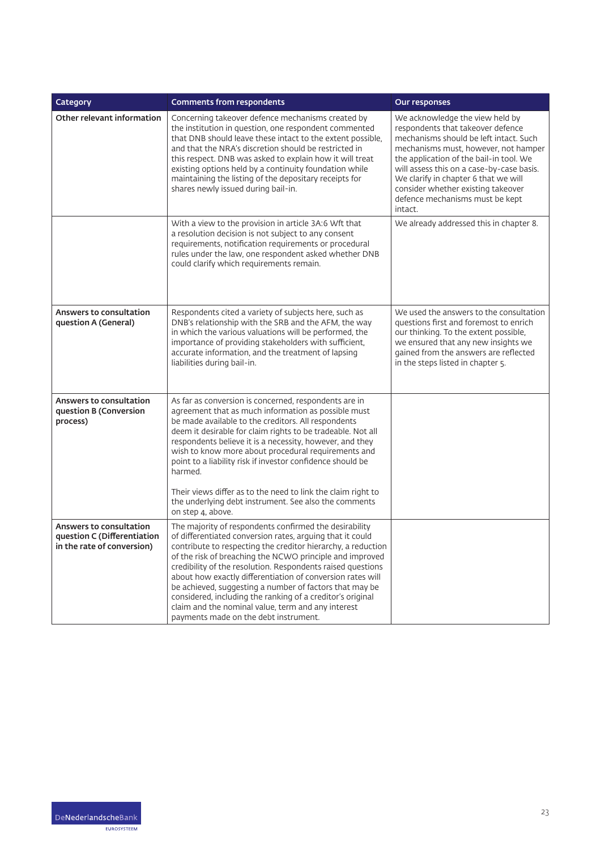| Category                                                                             | <b>Comments from respondents</b>                                                                                                                                                                                                                                                                                                                                                                                                                                                                                                                                                                     | Our responses                                                                                                                                                                                                                                                                                                                                                              |
|--------------------------------------------------------------------------------------|------------------------------------------------------------------------------------------------------------------------------------------------------------------------------------------------------------------------------------------------------------------------------------------------------------------------------------------------------------------------------------------------------------------------------------------------------------------------------------------------------------------------------------------------------------------------------------------------------|----------------------------------------------------------------------------------------------------------------------------------------------------------------------------------------------------------------------------------------------------------------------------------------------------------------------------------------------------------------------------|
| Other relevant information                                                           | Concerning takeover defence mechanisms created by<br>the institution in question, one respondent commented<br>that DNB should leave these intact to the extent possible,<br>and that the NRA's discretion should be restricted in<br>this respect. DNB was asked to explain how it will treat<br>existing options held by a continuity foundation while<br>maintaining the listing of the depositary receipts for<br>shares newly issued during bail-in.                                                                                                                                             | We acknowledge the view held by<br>respondents that takeover defence<br>mechanisms should be left intact. Such<br>mechanisms must, however, not hamper<br>the application of the bail-in tool. We<br>will assess this on a case-by-case basis.<br>We clarify in chapter 6 that we will<br>consider whether existing takeover<br>defence mechanisms must be kept<br>intact. |
|                                                                                      | With a view to the provision in article 3A:6 Wft that<br>a resolution decision is not subject to any consent<br>requirements, notification requirements or procedural<br>rules under the law, one respondent asked whether DNB<br>could clarify which requirements remain.                                                                                                                                                                                                                                                                                                                           | We already addressed this in chapter 8.                                                                                                                                                                                                                                                                                                                                    |
| <b>Answers to consultation</b><br>question A (General)                               | Respondents cited a variety of subjects here, such as<br>DNB's relationship with the SRB and the AFM, the way<br>in which the various valuations will be performed, the<br>importance of providing stakeholders with sufficient,<br>accurate information, and the treatment of lapsing<br>liabilities during bail-in.                                                                                                                                                                                                                                                                                | We used the answers to the consultation<br>questions first and foremost to enrich<br>our thinking. To the extent possible,<br>we ensured that any new insights we<br>gained from the answers are reflected<br>in the steps listed in chapter 5.                                                                                                                            |
| Answers to consultation<br>question B (Conversion<br>process)                        | As far as conversion is concerned, respondents are in<br>agreement that as much information as possible must<br>be made available to the creditors. All respondents<br>deem it desirable for claim rights to be tradeable. Not all<br>respondents believe it is a necessity, however, and they<br>wish to know more about procedural requirements and<br>point to a liability risk if investor confidence should be<br>harmed.<br>Their views differ as to the need to link the claim right to<br>the underlying debt instrument. See also the comments<br>on step 4, above.                         |                                                                                                                                                                                                                                                                                                                                                                            |
| Answers to consultation<br>question C (Differentiation<br>in the rate of conversion) | The majority of respondents confirmed the desirability<br>of differentiated conversion rates, arguing that it could<br>contribute to respecting the creditor hierarchy, a reduction<br>of the risk of breaching the NCWO principle and improved<br>credibility of the resolution. Respondents raised questions<br>about how exactly differentiation of conversion rates will<br>be achieved, suggesting a number of factors that may be<br>considered, including the ranking of a creditor's original<br>claim and the nominal value, term and any interest<br>payments made on the debt instrument. |                                                                                                                                                                                                                                                                                                                                                                            |

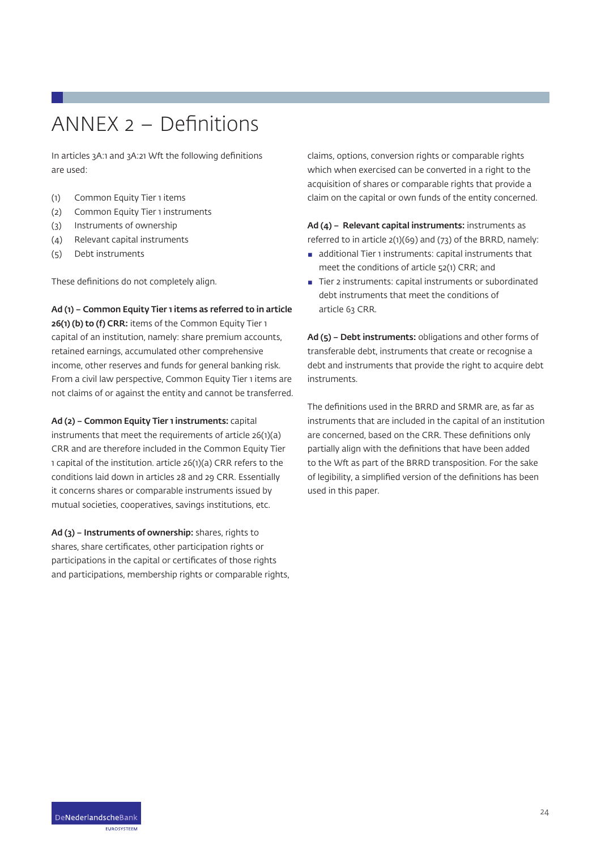## ANNEX 2 – Definitions

In articles 3A:1 and 3A:21 Wft the following definitions are used:

- (1) Common Equity Tier 1 items
- (2) Common Equity Tier 1 instruments
- (3) Instruments of ownership
- (4) Relevant capital instruments
- (5) Debt instruments

These definitions do not completely align.

Ad (1) – Common Equity Tier 1 items as referred to in article 26(1) (b) to (f) CRR: items of the Common Equity Tier 1 capital of an institution, namely: share premium accounts, retained earnings, accumulated other comprehensive income, other reserves and funds for general banking risk. From a civil law perspective, Common Equity Tier 1 items are not claims of or against the entity and cannot be transferred.

Ad (2) - Common Equity Tier 1 instruments: capital instruments that meet the requirements of article 26(1)(a) CRR and are therefore included in the Common Equity Tier 1 capital of the institution. article 26(1)(a) CRR refers to the conditions laid down in articles 28 and 29 CRR. Essentially it concerns shares or comparable instruments issued by mutual societies, cooperatives, savings institutions, etc.

Ad (3) – Instruments of ownership: shares, rights to shares, share certificates, other participation rights or participations in the capital or certificates of those rights and participations, membership rights or comparable rights, claims, options, conversion rights or comparable rights which when exercised can be converted in a right to the acquisition of shares or comparable rights that provide a claim on the capital or own funds of the entity concerned.

Ad (4) – Relevant capital instruments: instruments as referred to in article 2(1)(69) and (73) of the BRRD, namely:

- **a** additional Tier 1 instruments: capital instruments that meet the conditions of article 52(1) CRR; and
- Tier 2 instruments: capital instruments or subordinated debt instruments that meet the conditions of article 63 CRR.

Ad (5) – Debt instruments: obligations and other forms of transferable debt, instruments that create or recognise a debt and instruments that provide the right to acquire debt instruments.

The definitions used in the BRRD and SRMR are, as far as instruments that are included in the capital of an institution are concerned, based on the CRR. These definitions only partially align with the definitions that have been added to the Wft as part of the BRRD transposition. For the sake of legibility, a simplified version of the definitions has been used in this paper.